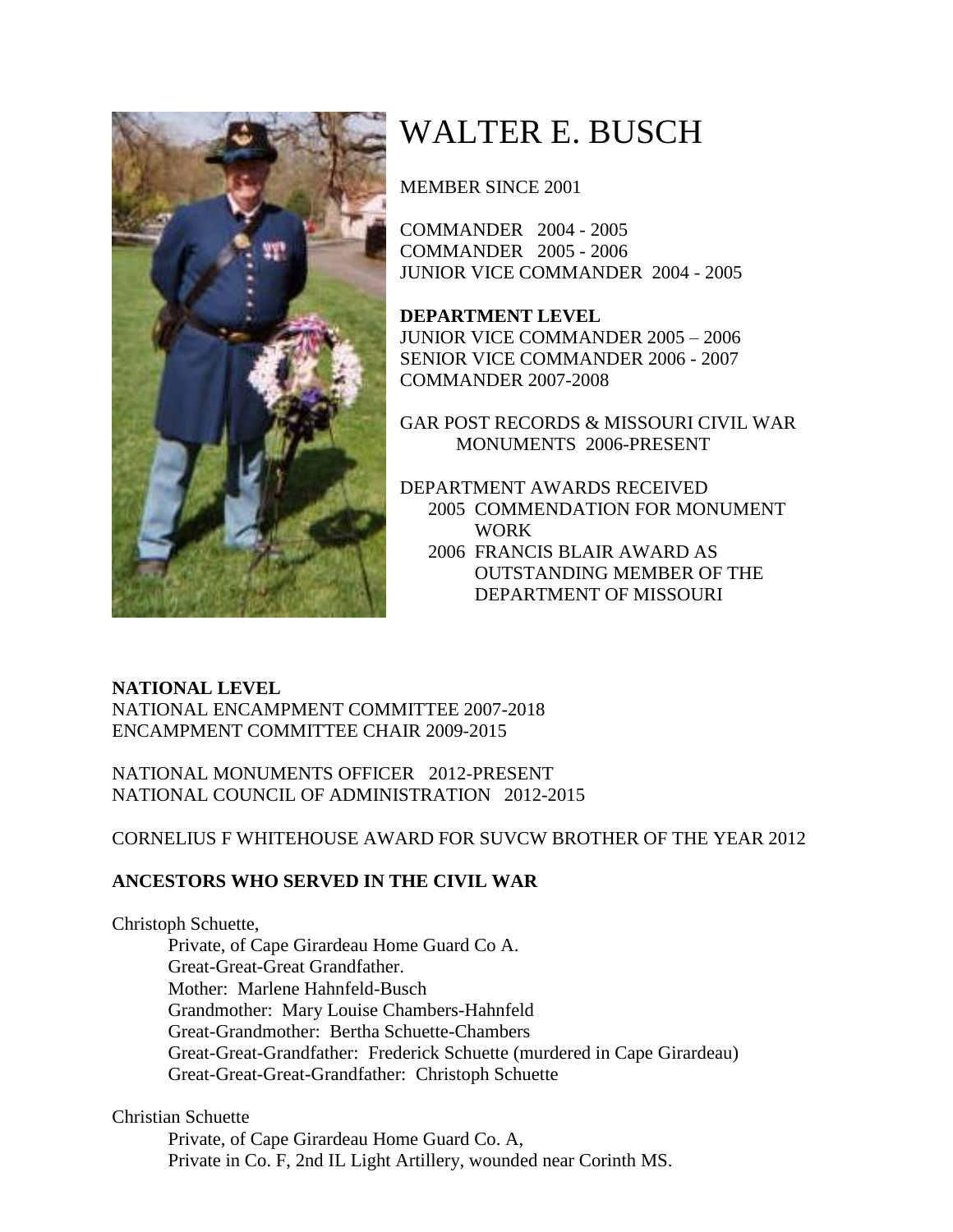

## WALTER E. BUSCH

MEMBER SINCE 2001

COMMANDER 2004 - 2005 COMMANDER 2005 - 2006 JUNIOR VICE COMMANDER 2004 - 2005

**DEPARTMENT LEVEL** JUNIOR VICE COMMANDER 2005 – 2006 SENIOR VICE COMMANDER 2006 - 2007 COMMANDER 2007-2008

GAR POST RECORDS & MISSOURI CIVIL WAR MONUMENTS 2006-PRESENT

DEPARTMENT AWARDS RECEIVED 2005 COMMENDATION FOR MONUMENT WORK 2006 FRANCIS BLAIR AWARD AS OUTSTANDING MEMBER OF THE DEPARTMENT OF MISSOURI

## **NATIONAL LEVEL**

NATIONAL ENCAMPMENT COMMITTEE 2007-2018 ENCAMPMENT COMMITTEE CHAIR 2009-2015

NATIONAL MONUMENTS OFFICER 2012-PRESENT NATIONAL COUNCIL OF ADMINISTRATION 2012-2015

CORNELIUS F WHITEHOUSE AWARD FOR SUVCW BROTHER OF THE YEAR 2012

## **ANCESTORS WHO SERVED IN THE CIVIL WAR**

Christoph Schuette, Private, of Cape Girardeau Home Guard Co A. Great-Great-Great Grandfather. Mother: Marlene Hahnfeld-Busch Grandmother: Mary Louise Chambers-Hahnfeld Great-Grandmother: Bertha Schuette-Chambers Great-Great-Grandfather: Frederick Schuette (murdered in Cape Girardeau) Great-Great-Great-Grandfather: Christoph Schuette

Christian Schuette

Private, of Cape Girardeau Home Guard Co. A, Private in Co. F, 2nd IL Light Artillery, wounded near Corinth MS.